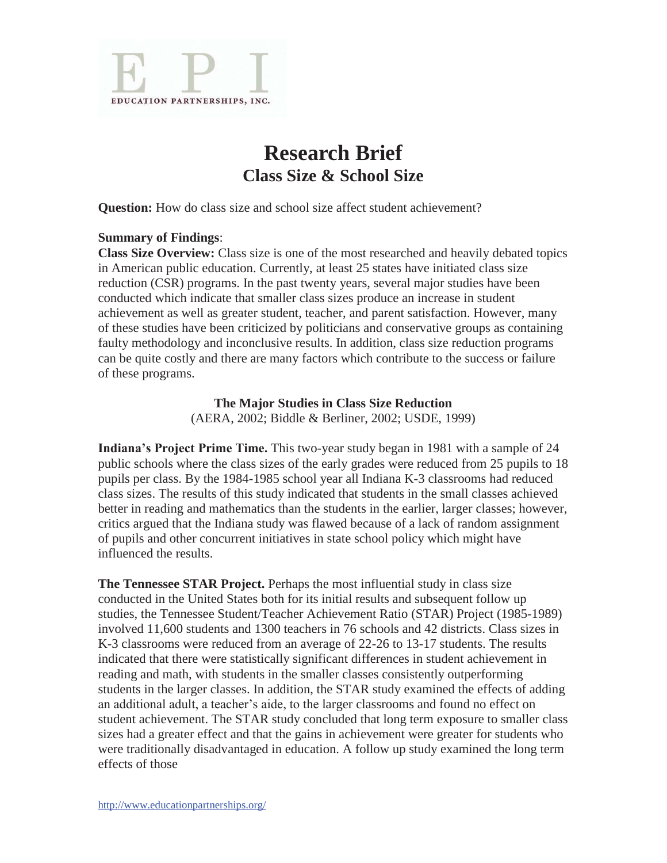

# **Research Brief Class Size & School Size**

**Question:** How do class size and school size affect student achievement?

#### **Summary of Findings**:

**Class Size Overview:** Class size is one of the most researched and heavily debated topics in American public education. Currently, at least 25 states have initiated class size reduction (CSR) programs. In the past twenty years, several major studies have been conducted which indicate that smaller class sizes produce an increase in student achievement as well as greater student, teacher, and parent satisfaction. However, many of these studies have been criticized by politicians and conservative groups as containing faulty methodology and inconclusive results. In addition, class size reduction programs can be quite costly and there are many factors which contribute to the success or failure of these programs.

**The Major Studies in Class Size Reduction** 

(AERA, 2002; Biddle & Berliner, 2002; USDE, 1999)

**Indiana's Project Prime Time.** This two-year study began in 1981 with a sample of 24 public schools where the class sizes of the early grades were reduced from 25 pupils to 18 pupils per class. By the 1984-1985 school year all Indiana K-3 classrooms had reduced class sizes. The results of this study indicated that students in the small classes achieved better in reading and mathematics than the students in the earlier, larger classes; however, critics argued that the Indiana study was flawed because of a lack of random assignment of pupils and other concurrent initiatives in state school policy which might have influenced the results.

**The Tennessee STAR Project.** Perhaps the most influential study in class size conducted in the United States both for its initial results and subsequent follow up studies, the Tennessee Student/Teacher Achievement Ratio (STAR) Project (1985-1989) involved 11,600 students and 1300 teachers in 76 schools and 42 districts. Class sizes in K-3 classrooms were reduced from an average of 22-26 to 13-17 students. The results indicated that there were statistically significant differences in student achievement in reading and math, with students in the smaller classes consistently outperforming students in the larger classes. In addition, the STAR study examined the effects of adding an additional adult, a teacher's aide, to the larger classrooms and found no effect on student achievement. The STAR study concluded that long term exposure to smaller class sizes had a greater effect and that the gains in achievement were greater for students who were traditionally disadvantaged in education. A follow up study examined the long term effects of those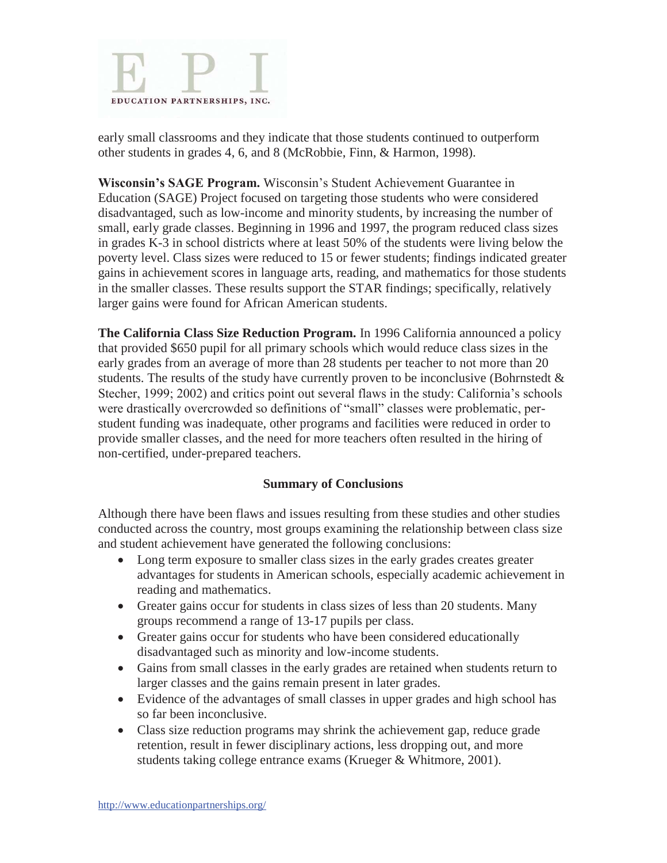

early small classrooms and they indicate that those students continued to outperform other students in grades 4, 6, and 8 (McRobbie, Finn, & Harmon, 1998).

**Wisconsin's SAGE Program.** Wisconsin's Student Achievement Guarantee in Education (SAGE) Project focused on targeting those students who were considered disadvantaged, such as low-income and minority students, by increasing the number of small, early grade classes. Beginning in 1996 and 1997, the program reduced class sizes in grades K-3 in school districts where at least 50% of the students were living below the poverty level. Class sizes were reduced to 15 or fewer students; findings indicated greater gains in achievement scores in language arts, reading, and mathematics for those students in the smaller classes. These results support the STAR findings; specifically, relatively larger gains were found for African American students.

**The California Class Size Reduction Program.** In 1996 California announced a policy that provided \$650 pupil for all primary schools which would reduce class sizes in the early grades from an average of more than 28 students per teacher to not more than 20 students. The results of the study have currently proven to be inconclusive (Bohrnstedt  $\&$ Stecher, 1999; 2002) and critics point out several flaws in the study: California's schools were drastically overcrowded so definitions of "small" classes were problematic, perstudent funding was inadequate, other programs and facilities were reduced in order to provide smaller classes, and the need for more teachers often resulted in the hiring of non-certified, under-prepared teachers.

# **Summary of Conclusions**

Although there have been flaws and issues resulting from these studies and other studies conducted across the country, most groups examining the relationship between class size and student achievement have generated the following conclusions:

- Long term exposure to smaller class sizes in the early grades creates greater advantages for students in American schools, especially academic achievement in reading and mathematics.
- Greater gains occur for students in class sizes of less than 20 students. Many groups recommend a range of 13-17 pupils per class.
- Greater gains occur for students who have been considered educationally disadvantaged such as minority and low-income students.
- Gains from small classes in the early grades are retained when students return to larger classes and the gains remain present in later grades.
- Evidence of the advantages of small classes in upper grades and high school has so far been inconclusive.
- Class size reduction programs may shrink the achievement gap, reduce grade retention, result in fewer disciplinary actions, less dropping out, and more students taking college entrance exams (Krueger & Whitmore, 2001).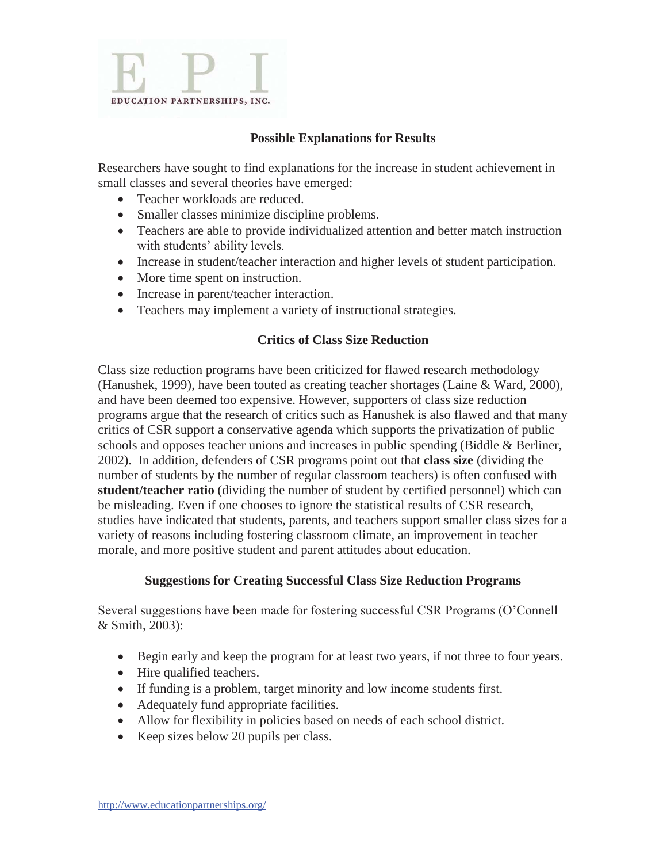

# **Possible Explanations for Results**

Researchers have sought to find explanations for the increase in student achievement in small classes and several theories have emerged:

- Teacher workloads are reduced.
- Smaller classes minimize discipline problems.
- Teachers are able to provide individualized attention and better match instruction with students' ability levels.
- Increase in student/teacher interaction and higher levels of student participation.
- More time spent on instruction.
- Increase in parent/teacher interaction.
- Teachers may implement a variety of instructional strategies.

#### **Critics of Class Size Reduction**

Class size reduction programs have been criticized for flawed research methodology (Hanushek, 1999), have been touted as creating teacher shortages (Laine & Ward, 2000), and have been deemed too expensive. However, supporters of class size reduction programs argue that the research of critics such as Hanushek is also flawed and that many critics of CSR support a conservative agenda which supports the privatization of public schools and opposes teacher unions and increases in public spending (Biddle & Berliner, 2002). In addition, defenders of CSR programs point out that **class size** (dividing the number of students by the number of regular classroom teachers) is often confused with **student/teacher ratio** (dividing the number of student by certified personnel) which can be misleading. Even if one chooses to ignore the statistical results of CSR research, studies have indicated that students, parents, and teachers support smaller class sizes for a variety of reasons including fostering classroom climate, an improvement in teacher morale, and more positive student and parent attitudes about education.

# **Suggestions for Creating Successful Class Size Reduction Programs**

Several suggestions have been made for fostering successful CSR Programs (O'Connell & Smith, 2003):

- Begin early and keep the program for at least two years, if not three to four years.
- Hire qualified teachers.
- If funding is a problem, target minority and low income students first.
- Adequately fund appropriate facilities.
- Allow for flexibility in policies based on needs of each school district.
- $\bullet$  Keep sizes below 20 pupils per class.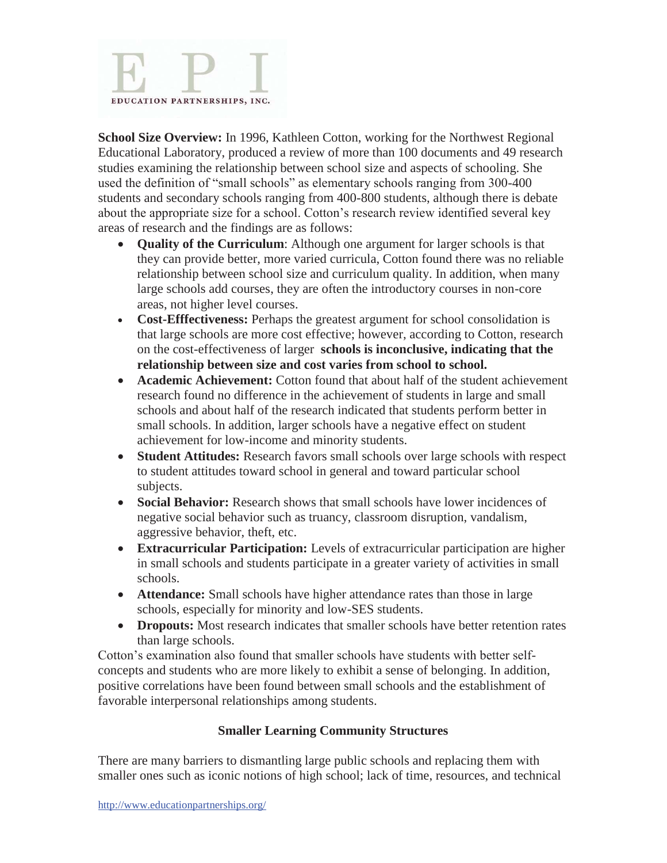

**School Size Overview:** In 1996, Kathleen Cotton, working for the Northwest Regional Educational Laboratory, produced a review of more than 100 documents and 49 research studies examining the relationship between school size and aspects of schooling. She used the definition of "small schools" as elementary schools ranging from 300-400 students and secondary schools ranging from 400-800 students, although there is debate about the appropriate size for a school. Cotton's research review identified several key areas of research and the findings are as follows:

- **Quality of the Curriculum**: Although one argument for larger schools is that they can provide better, more varied curricula, Cotton found there was no reliable relationship between school size and curriculum quality. In addition, when many large schools add courses, they are often the introductory courses in non-core areas, not higher level courses.
- **Cost-Efffectiveness:** Perhaps the greatest argument for school consolidation is that large schools are more cost effective; however, according to Cotton, research on the cost-effectiveness of larger **schools is inconclusive, indicating that the relationship between size and cost varies from school to school.**
- **Academic Achievement:** Cotton found that about half of the student achievement research found no difference in the achievement of students in large and small schools and about half of the research indicated that students perform better in small schools. In addition, larger schools have a negative effect on student achievement for low-income and minority students.
- **Student Attitudes:** Research favors small schools over large schools with respect to student attitudes toward school in general and toward particular school subjects.
- **Social Behavior:** Research shows that small schools have lower incidences of negative social behavior such as truancy, classroom disruption, vandalism, aggressive behavior, theft, etc.
- x **Extracurricular Participation:** Levels of extracurricular participation are higher in small schools and students participate in a greater variety of activities in small schools.
- **Attendance:** Small schools have higher attendance rates than those in large schools, especially for minority and low-SES students.
- Dropouts: Most research indicates that smaller schools have better retention rates than large schools.

Cotton's examination also found that smaller schools have students with better selfconcepts and students who are more likely to exhibit a sense of belonging. In addition, positive correlations have been found between small schools and the establishment of favorable interpersonal relationships among students.

# **Smaller Learning Community Structures**

There are many barriers to dismantling large public schools and replacing them with smaller ones such as iconic notions of high school; lack of time, resources, and technical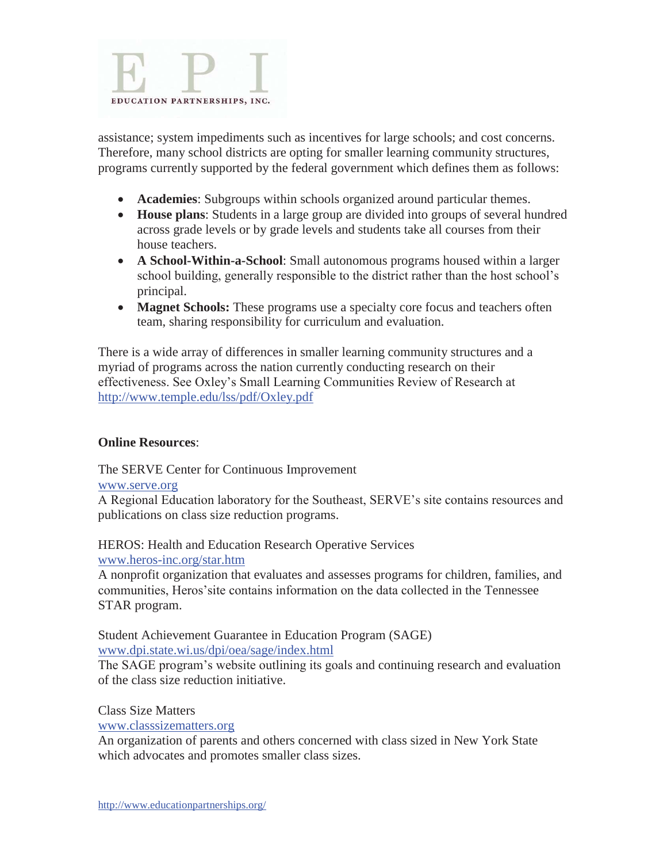

assistance; system impediments such as incentives for large schools; and cost concerns. Therefore, many school districts are opting for smaller learning community structures, programs currently supported by the federal government which defines them as follows:

- **Academies**: Subgroups within schools organized around particular themes.
- x **House plans**: Students in a large group are divided into groups of several hundred across grade levels or by grade levels and students take all courses from their house teachers.
- A School-Within-a-School: Small autonomous programs housed within a larger school building, generally responsible to the district rather than the host school's principal.
- **Magnet Schools:** These programs use a specialty core focus and teachers often team, sharing responsibility for curriculum and evaluation.

There is a wide array of differences in smaller learning community structures and a myriad of programs across the nation currently conducting research on their effectiveness. See Oxley's Small Learning Communities Review of Research at http://www.temple.edu/lss/pdf/Oxley.pdf

#### **Online Resources**:

The SERVE Center for Continuous Improvement

#### www.serve.org

A Regional Education laboratory for the Southeast, SERVE's site contains resources and publications on class size reduction programs.

HEROS: Health and Education Research Operative Services www.heros-inc.org/star.htm

A nonprofit organization that evaluates and assesses programs for children, families, and communities, Heros'site contains information on the data collected in the Tennessee STAR program.

Student Achievement Guarantee in Education Program (SAGE) www.dpi.state.wi.us/dpi/oea/sage/index.html

The SAGE program's website outlining its goals and continuing research and evaluation of the class size reduction initiative.

Class Size Matters

www.classsizematters.org

An organization of parents and others concerned with class sized in New York State which advocates and promotes smaller class sizes.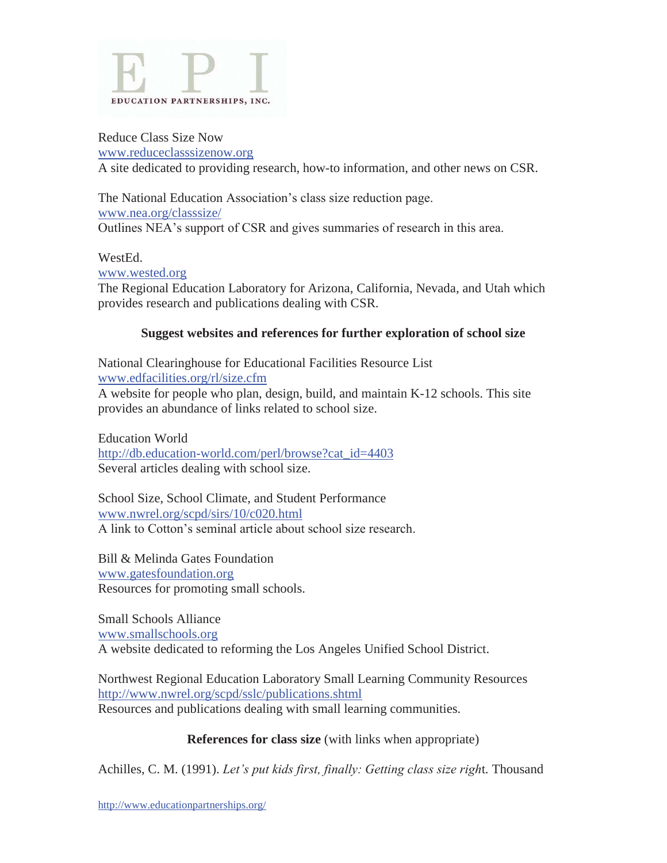

#### Reduce Class Size Now www.reduceclasssizenow.org

A site dedicated to providing research, how-to information, and other news on CSR.

The National Education Association's class size reduction page. www.nea.org/classsize/ Outlines NEA's support of CSR and gives summaries of research in this area.

#### WestEd.

www.wested.org

The Regional Education Laboratory for Arizona, California, Nevada, and Utah which provides research and publications dealing with CSR.

# **Suggest websites and references for further exploration of school size**

National Clearinghouse for Educational Facilities Resource List www.edfacilities.org/rl/size.cfm A website for people who plan, design, build, and maintain K-12 schools. This site provides an abundance of links related to school size.

Education World http://db.education-world.com/perl/browse?cat\_id=4403 Several articles dealing with school size.

School Size, School Climate, and Student Performance www.nwrel.org/scpd/sirs/10/c020.html A link to Cotton's seminal article about school size research.

Bill & Melinda Gates Foundation www.gatesfoundation.org Resources for promoting small schools.

Small Schools Alliance www.smallschools.org A website dedicated to reforming the Los Angeles Unified School District.

Northwest Regional Education Laboratory Small Learning Community Resources http://www.nwrel.org/scpd/sslc/publications.shtml Resources and publications dealing with small learning communities.

# **References for class size** (with links when appropriate)

Achilles, C. M. (1991). *Let's put kids first, finally: Getting class size righ*t*.* Thousand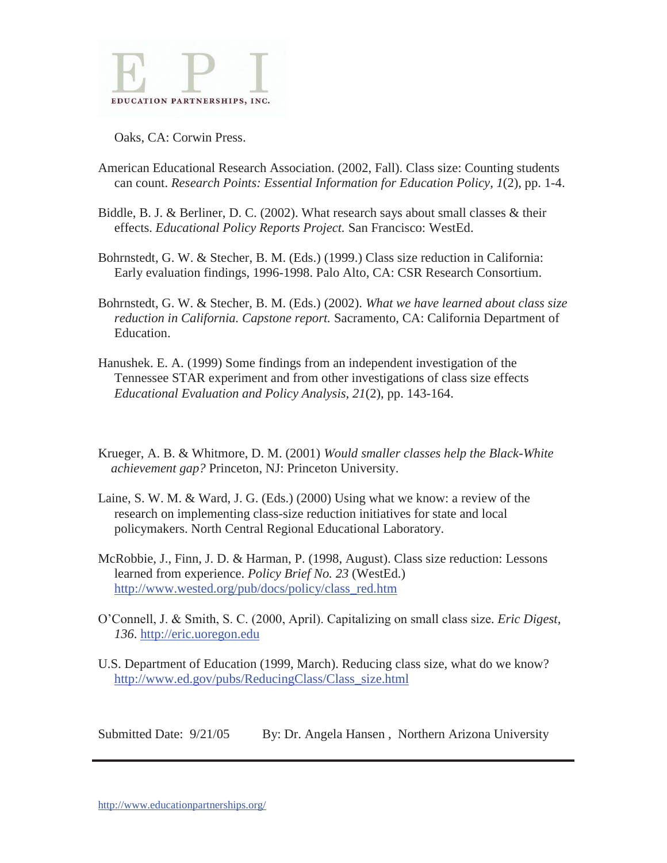

Oaks, CA: Corwin Press.

- American Educational Research Association. (2002, Fall). Class size: Counting students can count. *Research Points: Essential Information for Education Policy, 1*(2), pp. 1-4.
- Biddle, B. J. & Berliner, D. C. (2002). What research says about small classes & their effects. *Educational Policy Reports Project.* San Francisco: WestEd.
- Bohrnstedt, G. W. & Stecher, B. M. (Eds.) (1999.) Class size reduction in California: Early evaluation findings, 1996-1998. Palo Alto, CA: CSR Research Consortium.
- Bohrnstedt, G. W. & Stecher, B. M. (Eds.) (2002). *What we have learned about class size reduction in California. Capstone report.* Sacramento, CA: California Department of Education.
- Hanushek. E. A. (1999) Some findings from an independent investigation of the Tennessee STAR experiment and from other investigations of class size effects *Educational Evaluation and Policy Analysis*, *21*(2), pp. 143-164.
- Krueger, A. B. & Whitmore, D. M. (2001) *Would smaller classes help the Black-White achievement gap?* Princeton, NJ: Princeton University.
- Laine, S. W. M. & Ward, J. G. (Eds.) (2000) Using what we know: a review of the research on implementing class-size reduction initiatives for state and local policymakers. North Central Regional Educational Laboratory.
- McRobbie, J., Finn, J. D. & Harman, P. (1998, August). Class size reduction: Lessons learned from experience. *Policy Brief No. 23* (WestEd.) http://www.wested.org/pub/docs/policy/class\_red.htm
- O'Connell, J. & Smith, S. C. (2000, April). Capitalizing on small class size*. Eric Digest, 136*. http://eric.uoregon.edu
- U.S. Department of Education (1999, March). Reducing class size, what do we know? http://www.ed.gov/pubs/ReducingClass/Class\_size.html

Submitted Date: 9/21/05 By: Dr. Angela Hansen, Northern Arizona University